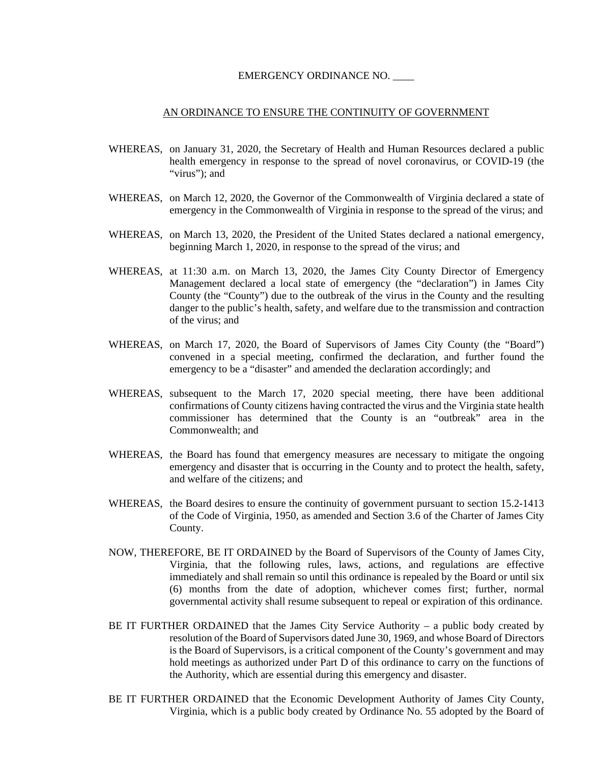#### EMERGENCY ORDINANCE NO. \_\_\_\_

### AN ORDINANCE TO ENSURE THE CONTINUITY OF GOVERNMENT

- WHEREAS, on January 31, 2020, the Secretary of Health and Human Resources declared a public health emergency in response to the spread of novel coronavirus, or COVID-19 (the "virus"); and
- WHEREAS, on March 12, 2020, the Governor of the Commonwealth of Virginia declared a state of emergency in the Commonwealth of Virginia in response to the spread of the virus; and
- WHEREAS, on March 13, 2020, the President of the United States declared a national emergency, beginning March 1, 2020, in response to the spread of the virus; and
- WHEREAS, at 11:30 a.m. on March 13, 2020, the James City County Director of Emergency Management declared a local state of emergency (the "declaration") in James City County (the "County") due to the outbreak of the virus in the County and the resulting danger to the public's health, safety, and welfare due to the transmission and contraction of the virus; and
- WHEREAS, on March 17, 2020, the Board of Supervisors of James City County (the "Board") convened in a special meeting, confirmed the declaration, and further found the emergency to be a "disaster" and amended the declaration accordingly; and
- WHEREAS, subsequent to the March 17, 2020 special meeting, there have been additional confirmations of County citizens having contracted the virus and the Virginia state health commissioner has determined that the County is an "outbreak" area in the Commonwealth; and
- WHEREAS, the Board has found that emergency measures are necessary to mitigate the ongoing emergency and disaster that is occurring in the County and to protect the health, safety, and welfare of the citizens; and
- WHEREAS, the Board desires to ensure the continuity of government pursuant to section 15.2-1413 of the Code of Virginia, 1950, as amended and Section 3.6 of the Charter of James City County.
- NOW, THEREFORE, BE IT ORDAINED by the Board of Supervisors of the County of James City, Virginia, that the following rules, laws, actions, and regulations are effective immediately and shall remain so until this ordinance is repealed by the Board or until six (6) months from the date of adoption, whichever comes first; further, normal governmental activity shall resume subsequent to repeal or expiration of this ordinance.
- BE IT FURTHER ORDAINED that the James City Service Authority a public body created by resolution of the Board of Supervisors dated June 30, 1969, and whose Board of Directors is the Board of Supervisors, is a critical component of the County's government and may hold meetings as authorized under Part D of this ordinance to carry on the functions of the Authority, which are essential during this emergency and disaster.
- BE IT FURTHER ORDAINED that the Economic Development Authority of James City County, Virginia, which is a public body created by Ordinance No. 55 adopted by the Board of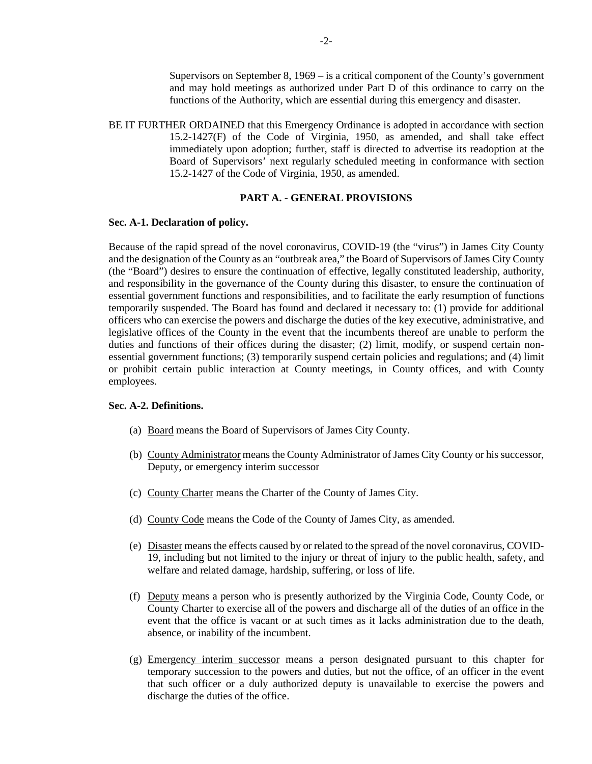Supervisors on September 8, 1969 – is a critical component of the County's government and may hold meetings as authorized under Part D of this ordinance to carry on the functions of the Authority, which are essential during this emergency and disaster.

BE IT FURTHER ORDAINED that this Emergency Ordinance is adopted in accordance with section 15.2-1427(F) of the Code of Virginia, 1950, as amended, and shall take effect immediately upon adoption; further, staff is directed to advertise its readoption at the Board of Supervisors' next regularly scheduled meeting in conformance with section 15.2-1427 of the Code of Virginia, 1950, as amended.

### **PART A. - GENERAL PROVISIONS**

#### **Sec. A-1. Declaration of policy.**

Because of the rapid spread of the novel coronavirus, COVID-19 (the "virus") in James City County and the designation of the County as an "outbreak area," the Board of Supervisors of James City County (the "Board") desires to ensure the continuation of effective, legally constituted leadership, authority, and responsibility in the governance of the County during this disaster, to ensure the continuation of essential government functions and responsibilities, and to facilitate the early resumption of functions temporarily suspended. The Board has found and declared it necessary to: (1) provide for additional officers who can exercise the powers and discharge the duties of the key executive, administrative, and legislative offices of the County in the event that the incumbents thereof are unable to perform the duties and functions of their offices during the disaster; (2) limit, modify, or suspend certain nonessential government functions; (3) temporarily suspend certain policies and regulations; and (4) limit or prohibit certain public interaction at County meetings, in County offices, and with County employees.

#### **Sec. A-2. Definitions.**

- (a) Board means the Board of Supervisors of James City County.
- (b) County Administrator means the County Administrator of James City County or his successor, Deputy, or emergency interim successor
- (c) County Charter means the Charter of the County of James City.
- (d) County Code means the Code of the County of James City, as amended.
- (e) Disaster means the effects caused by or related to the spread of the novel coronavirus, COVID-19, including but not limited to the injury or threat of injury to the public health, safety, and welfare and related damage, hardship, suffering, or loss of life.
- (f) Deputy means a person who is presently authorized by the Virginia Code, County Code, or County Charter to exercise all of the powers and discharge all of the duties of an office in the event that the office is vacant or at such times as it lacks administration due to the death, absence, or inability of the incumbent.
- (g) Emergency interim successor means a person designated pursuant to this chapter for temporary succession to the powers and duties, but not the office, of an officer in the event that such officer or a duly authorized deputy is unavailable to exercise the powers and discharge the duties of the office.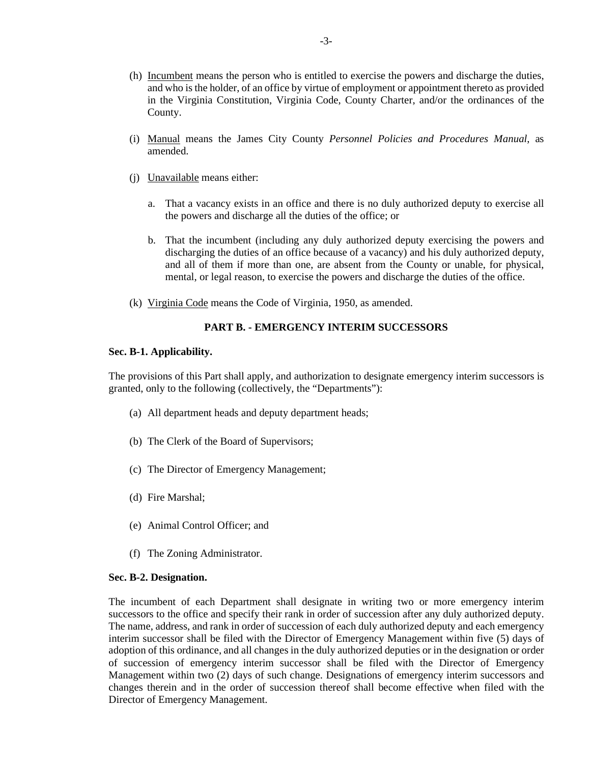- (h) Incumbent means the person who is entitled to exercise the powers and discharge the duties, and who is the holder, of an office by virtue of employment or appointment thereto as provided in the Virginia Constitution, Virginia Code, County Charter, and/or the ordinances of the County.
- (i) Manual means the James City County *Personnel Policies and Procedures Manual*, as amended.
- (j) Unavailable means either:
	- a. That a vacancy exists in an office and there is no duly authorized deputy to exercise all the powers and discharge all the duties of the office; or
	- b. That the incumbent (including any duly authorized deputy exercising the powers and discharging the duties of an office because of a vacancy) and his duly authorized deputy, and all of them if more than one, are absent from the County or unable, for physical, mental, or legal reason, to exercise the powers and discharge the duties of the office.
- (k) Virginia Code means the Code of Virginia, 1950, as amended.

# **PART B. - EMERGENCY INTERIM SUCCESSORS**

## **Sec. B-1. Applicability.**

The provisions of this Part shall apply, and authorization to designate emergency interim successors is granted, only to the following (collectively, the "Departments"):

- (a) All department heads and deputy department heads;
- (b) The Clerk of the Board of Supervisors;
- (c) The Director of Emergency Management;
- (d) Fire Marshal;
- (e) Animal Control Officer; and
- (f) The Zoning Administrator.

## **Sec. B-2. Designation.**

The incumbent of each Department shall designate in writing two or more emergency interim successors to the office and specify their rank in order of succession after any duly authorized deputy. The name, address, and rank in order of succession of each duly authorized deputy and each emergency interim successor shall be filed with the Director of Emergency Management within five (5) days of adoption of this ordinance, and all changes in the duly authorized deputies or in the designation or order of succession of emergency interim successor shall be filed with the Director of Emergency Management within two (2) days of such change. Designations of emergency interim successors and changes therein and in the order of succession thereof shall become effective when filed with the Director of Emergency Management.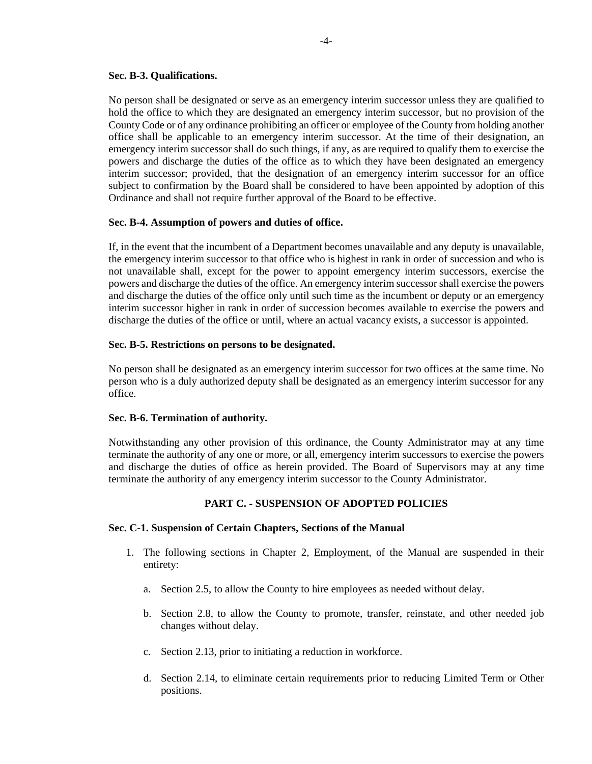## **Sec. B-3. Qualifications.**

No person shall be designated or serve as an emergency interim successor unless they are qualified to hold the office to which they are designated an emergency interim successor, but no provision of the County Code or of any ordinance prohibiting an officer or employee of the County from holding another office shall be applicable to an emergency interim successor. At the time of their designation, an emergency interim successor shall do such things, if any, as are required to qualify them to exercise the powers and discharge the duties of the office as to which they have been designated an emergency interim successor; provided, that the designation of an emergency interim successor for an office subject to confirmation by the Board shall be considered to have been appointed by adoption of this Ordinance and shall not require further approval of the Board to be effective.

# **Sec. B-4. Assumption of powers and duties of office.**

If, in the event that the incumbent of a Department becomes unavailable and any deputy is unavailable, the emergency interim successor to that office who is highest in rank in order of succession and who is not unavailable shall, except for the power to appoint emergency interim successors, exercise the powers and discharge the duties of the office. An emergency interim successor shall exercise the powers and discharge the duties of the office only until such time as the incumbent or deputy or an emergency interim successor higher in rank in order of succession becomes available to exercise the powers and discharge the duties of the office or until, where an actual vacancy exists, a successor is appointed.

## **Sec. B-5. Restrictions on persons to be designated.**

No person shall be designated as an emergency interim successor for two offices at the same time. No person who is a duly authorized deputy shall be designated as an emergency interim successor for any office.

## **Sec. B-6. Termination of authority.**

Notwithstanding any other provision of this ordinance, the County Administrator may at any time terminate the authority of any one or more, or all, emergency interim successors to exercise the powers and discharge the duties of office as herein provided. The Board of Supervisors may at any time terminate the authority of any emergency interim successor to the County Administrator.

# **PART C. - SUSPENSION OF ADOPTED POLICIES**

## **Sec. C-1. Suspension of Certain Chapters, Sections of the Manual**

- 1. The following sections in Chapter 2, Employment, of the Manual are suspended in their entirety:
	- a. Section 2.5, to allow the County to hire employees as needed without delay.
	- b. Section 2.8, to allow the County to promote, transfer, reinstate, and other needed job changes without delay.
	- c. Section 2.13, prior to initiating a reduction in workforce.
	- d. Section 2.14, to eliminate certain requirements prior to reducing Limited Term or Other positions.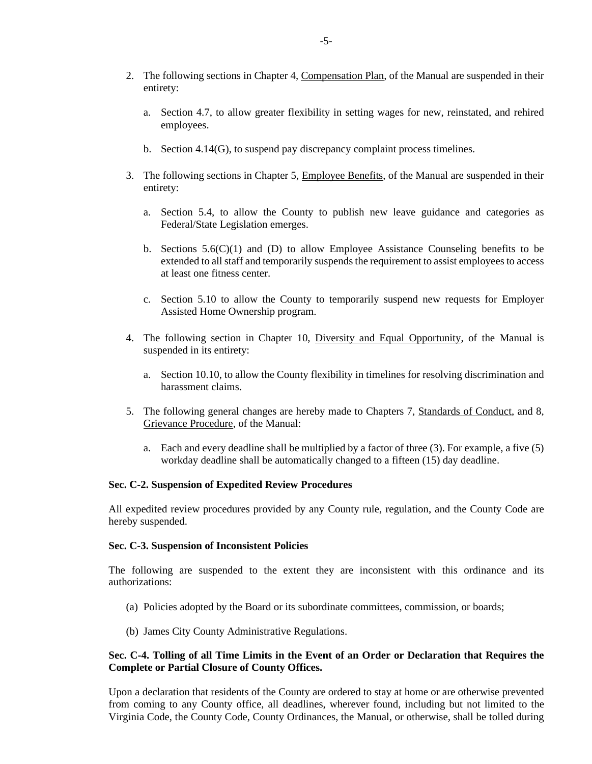- 2. The following sections in Chapter 4, Compensation Plan, of the Manual are suspended in their entirety:
	- a. Section 4.7, to allow greater flexibility in setting wages for new, reinstated, and rehired employees.
	- b. Section 4.14(G), to suspend pay discrepancy complaint process timelines.
- 3. The following sections in Chapter 5, Employee Benefits, of the Manual are suspended in their entirety:
	- a. Section 5.4, to allow the County to publish new leave guidance and categories as Federal/State Legislation emerges.
	- b. Sections  $5.6(C)(1)$  and (D) to allow Employee Assistance Counseling benefits to be extended to all staff and temporarily suspends the requirement to assist employees to access at least one fitness center.
	- c. Section 5.10 to allow the County to temporarily suspend new requests for Employer Assisted Home Ownership program.
- 4. The following section in Chapter 10, Diversity and Equal Opportunity, of the Manual is suspended in its entirety:
	- a. Section 10.10, to allow the County flexibility in timelines for resolving discrimination and harassment claims.
- 5. The following general changes are hereby made to Chapters 7, Standards of Conduct, and 8, Grievance Procedure, of the Manual:
	- a. Each and every deadline shall be multiplied by a factor of three (3). For example, a five (5) workday deadline shall be automatically changed to a fifteen (15) day deadline.

## **Sec. C-2. Suspension of Expedited Review Procedures**

All expedited review procedures provided by any County rule, regulation, and the County Code are hereby suspended.

## **Sec. C-3. Suspension of Inconsistent Policies**

The following are suspended to the extent they are inconsistent with this ordinance and its authorizations:

- (a) Policies adopted by the Board or its subordinate committees, commission, or boards;
- (b) James City County Administrative Regulations.

# **Sec. C-4. Tolling of all Time Limits in the Event of an Order or Declaration that Requires the Complete or Partial Closure of County Offices.**

Upon a declaration that residents of the County are ordered to stay at home or are otherwise prevented from coming to any County office, all deadlines, wherever found, including but not limited to the Virginia Code, the County Code, County Ordinances, the Manual, or otherwise, shall be tolled during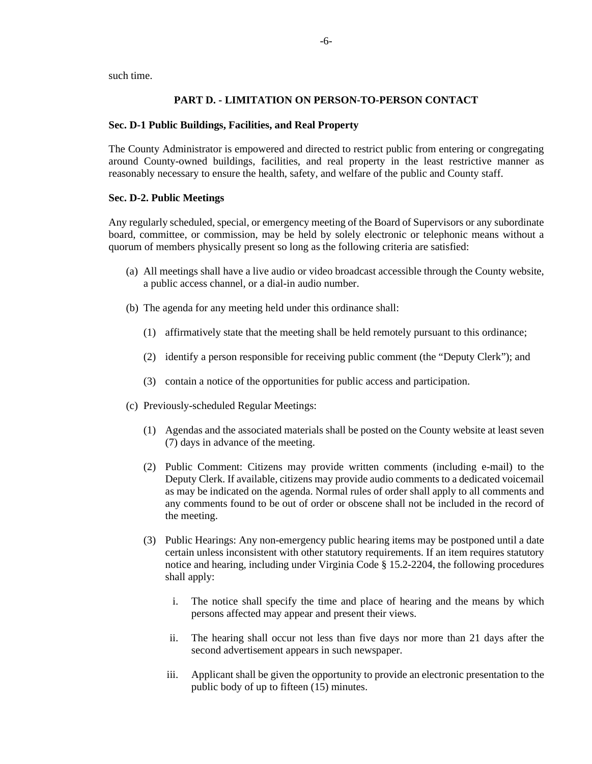such time.

## **PART D. - LIMITATION ON PERSON-TO-PERSON CONTACT**

### **Sec. D-1 Public Buildings, Facilities, and Real Property**

The County Administrator is empowered and directed to restrict public from entering or congregating around County-owned buildings, facilities, and real property in the least restrictive manner as reasonably necessary to ensure the health, safety, and welfare of the public and County staff.

## **Sec. D-2. Public Meetings**

Any regularly scheduled, special, or emergency meeting of the Board of Supervisors or any subordinate board, committee, or commission, may be held by solely electronic or telephonic means without a quorum of members physically present so long as the following criteria are satisfied:

- (a) All meetings shall have a live audio or video broadcast accessible through the County website, a public access channel, or a dial-in audio number.
- (b) The agenda for any meeting held under this ordinance shall:
	- (1) affirmatively state that the meeting shall be held remotely pursuant to this ordinance;
	- (2) identify a person responsible for receiving public comment (the "Deputy Clerk"); and
	- (3) contain a notice of the opportunities for public access and participation.
- (c) Previously-scheduled Regular Meetings:
	- (1) Agendas and the associated materials shall be posted on the County website at least seven (7) days in advance of the meeting.
	- (2) Public Comment: Citizens may provide written comments (including e-mail) to the Deputy Clerk. If available, citizens may provide audio comments to a dedicated voicemail as may be indicated on the agenda. Normal rules of order shall apply to all comments and any comments found to be out of order or obscene shall not be included in the record of the meeting.
	- (3) Public Hearings: Any non-emergency public hearing items may be postponed until a date certain unless inconsistent with other statutory requirements. If an item requires statutory notice and hearing, including under Virginia Code § 15.2-2204, the following procedures shall apply:
		- i. The notice shall specify the time and place of hearing and the means by which persons affected may appear and present their views.
		- ii. The hearing shall occur not less than five days nor more than 21 days after the second advertisement appears in such newspaper.
		- iii. Applicant shall be given the opportunity to provide an electronic presentation to the public body of up to fifteen (15) minutes.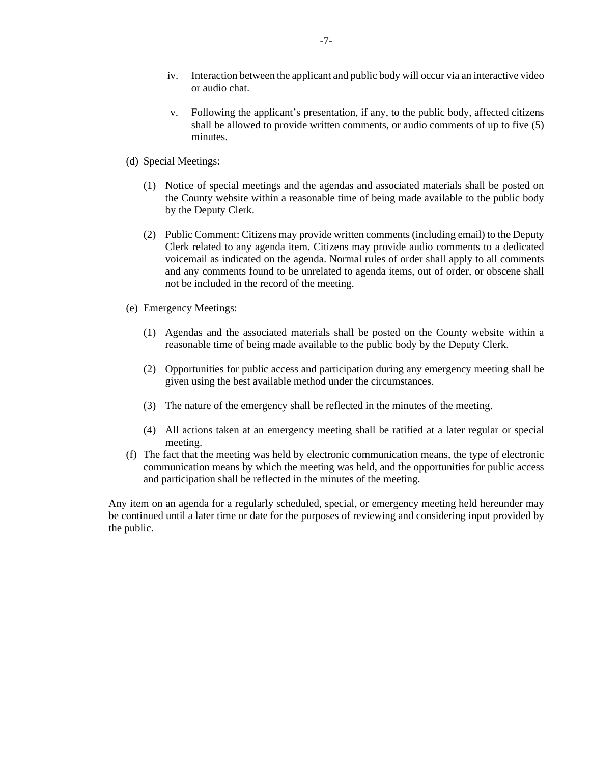- iv. Interaction between the applicant and public body will occur via an interactive video or audio chat.
- v. Following the applicant's presentation, if any, to the public body, affected citizens shall be allowed to provide written comments, or audio comments of up to five (5) minutes.
- (d) Special Meetings:
	- (1) Notice of special meetings and the agendas and associated materials shall be posted on the County website within a reasonable time of being made available to the public body by the Deputy Clerk.
	- (2) Public Comment: Citizens may provide written comments (including email) to the Deputy Clerk related to any agenda item. Citizens may provide audio comments to a dedicated voicemail as indicated on the agenda. Normal rules of order shall apply to all comments and any comments found to be unrelated to agenda items, out of order, or obscene shall not be included in the record of the meeting.
- (e) Emergency Meetings:
	- (1) Agendas and the associated materials shall be posted on the County website within a reasonable time of being made available to the public body by the Deputy Clerk.
	- (2) Opportunities for public access and participation during any emergency meeting shall be given using the best available method under the circumstances.
	- (3) The nature of the emergency shall be reflected in the minutes of the meeting.
	- (4) All actions taken at an emergency meeting shall be ratified at a later regular or special meeting.
- (f) The fact that the meeting was held by electronic communication means, the type of electronic communication means by which the meeting was held, and the opportunities for public access and participation shall be reflected in the minutes of the meeting.

Any item on an agenda for a regularly scheduled, special, or emergency meeting held hereunder may be continued until a later time or date for the purposes of reviewing and considering input provided by the public.